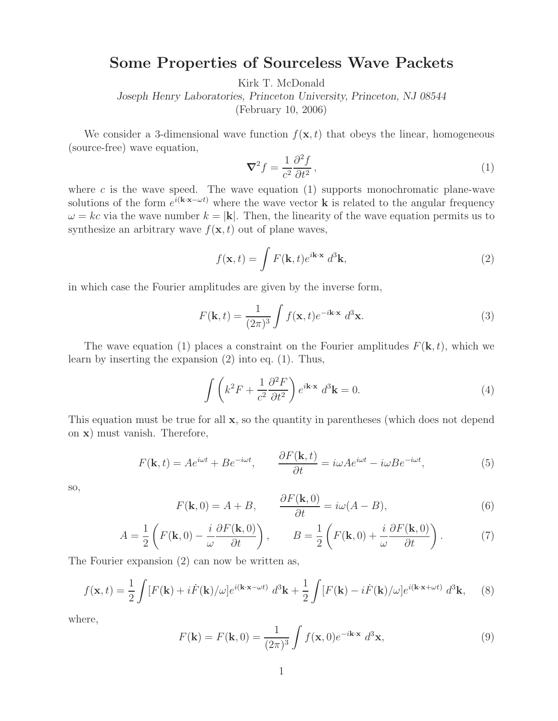## **Some Properties of Sourceless Wave Packets**

Kirk T. McDonald

*Joseph Henry Laboratories, Princeton University, Princeton, NJ 08544*

(February 10, 2006)

We consider a 3-dimensional wave function  $f(\mathbf{x}, t)$  that obeys the linear, homogeneous (source-free) wave equation,

$$
\nabla^2 f = \frac{1}{c^2} \frac{\partial^2 f}{\partial t^2},\tag{1}
$$

where  $c$  is the wave speed. The wave equation (1) supports monochromatic plane-wave solutions of the form  $e^{i(k \cdot \mathbf{x} - \omega t)}$  where the wave vector **k** is related to the angular frequency  $\omega = kc$  via the wave number  $k = |\mathbf{k}|$ . Then, the linearity of the wave equation permits us to synthesize an arbitrary wave  $f(\mathbf{x}, t)$  out of plane waves,

$$
f(\mathbf{x},t) = \int F(\mathbf{k},t)e^{i\mathbf{k}\cdot\mathbf{x}} d^3\mathbf{k},
$$
 (2)

in which case the Fourier amplitudes are given by the inverse form,

$$
F(\mathbf{k},t) = \frac{1}{(2\pi)^3} \int f(\mathbf{x},t) e^{-i\mathbf{k}\cdot\mathbf{x}} d^3 \mathbf{x}.
$$
 (3)

The wave equation (1) places a constraint on the Fourier amplitudes  $F(\mathbf{k}, t)$ , which we learn by inserting the expansion (2) into eq. (1). Thus,

$$
\int \left( k^2 F + \frac{1}{c^2} \frac{\partial^2 F}{\partial t^2} \right) e^{i\mathbf{k} \cdot \mathbf{x}} d^3 \mathbf{k} = 0.
$$
 (4)

This equation must be true for all **x**, so the quantity in parentheses (which does not depend on **x**) must vanish. Therefore,

$$
F(\mathbf{k},t) = Ae^{i\omega t} + Be^{-i\omega t}, \qquad \frac{\partial F(\mathbf{k},t)}{\partial t} = i\omega Ae^{i\omega t} - i\omega Be^{-i\omega t}, \tag{5}
$$

so,

$$
F(\mathbf{k},0) = A + B, \qquad \frac{\partial F(\mathbf{k},0)}{\partial t} = i\omega(A - B), \tag{6}
$$

$$
A = \frac{1}{2} \left( F(\mathbf{k}, 0) - \frac{i}{\omega} \frac{\partial F(\mathbf{k}, 0)}{\partial t} \right), \qquad B = \frac{1}{2} \left( F(\mathbf{k}, 0) + \frac{i}{\omega} \frac{\partial F(\mathbf{k}, 0)}{\partial t} \right). \tag{7}
$$

The Fourier expansion (2) can now be written as,

$$
f(\mathbf{x},t) = \frac{1}{2} \int [F(\mathbf{k}) + i\dot{F}(\mathbf{k})/\omega] e^{i(\mathbf{k}\cdot\mathbf{x}-\omega t)} d^3\mathbf{k} + \frac{1}{2} \int [F(\mathbf{k}) - i\dot{F}(\mathbf{k})/\omega] e^{i(\mathbf{k}\cdot\mathbf{x}+\omega t)} d^3\mathbf{k}, \quad (8)
$$

where,

$$
F(\mathbf{k}) = F(\mathbf{k}, 0) = \frac{1}{(2\pi)^3} \int f(\mathbf{x}, 0) e^{-i\mathbf{k} \cdot \mathbf{x}} d^3 \mathbf{x},
$$
\n(9)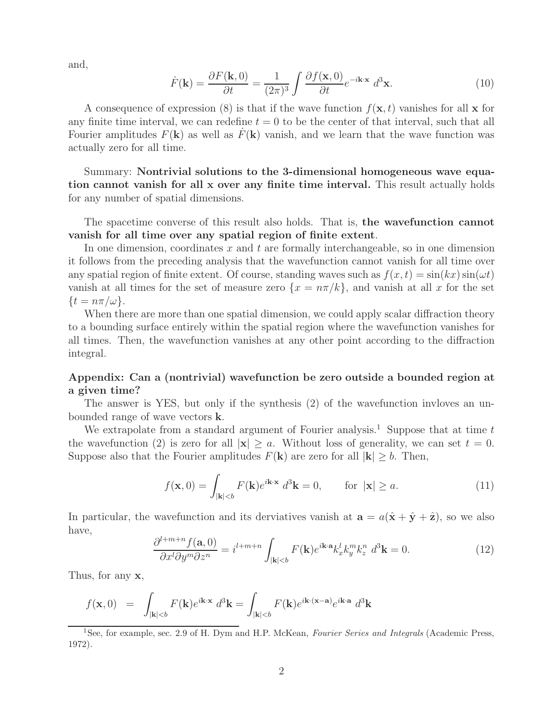and,

$$
\dot{F}(\mathbf{k}) = \frac{\partial F(\mathbf{k}, 0)}{\partial t} = \frac{1}{(2\pi)^3} \int \frac{\partial f(\mathbf{x}, 0)}{\partial t} e^{-i\mathbf{k} \cdot \mathbf{x}} d^3 \mathbf{x}.
$$
 (10)

A consequence of expression (8) is that if the wave function  $f(\mathbf{x}, t)$  vanishes for all **x** for any finite time interval, we can redefine  $t = 0$  to be the center of that interval, such that all Fourier amplitudes  $F(\mathbf{k})$  as well as  $F(\mathbf{k})$  vanish, and we learn that the wave function was actually zero for all time.

Summary: **Nontrivial solutions to the 3-dimensional homogeneous wave equation cannot vanish for all x over any finite time interval.** This result actually holds for any number of spatial dimensions.

The spacetime converse of this result also holds. That is, **the wavefunction cannot vanish for all time over any spatial region of finite extent**.

In one dimension, coordinates  $x$  and  $t$  are formally interchangeable, so in one dimension it follows from the preceding analysis that the wavefunction cannot vanish for all time over any spatial region of finite extent. Of course, standing waves such as  $f(x, t) = \sin(kx) \sin(\omega t)$ vanish at all times for the set of measure zero  $\{x = n\pi/k\}$ , and vanish at all x for the set  $\{t = n\pi/\omega\}.$ 

When there are more than one spatial dimension, we could apply scalar diffraction theory to a bounding surface entirely within the spatial region where the wavefunction vanishes for all times. Then, the wavefunction vanishes at any other point according to the diffraction integral.

## **Appendix: Can a (nontrivial) wavefunction be zero outside a bounded region at a given time?**

The answer is YES, but only if the synthesis (2) of the wavefunction invloves an unbounded range of wave vectors **k**.

We extrapolate from a standard argument of Fourier analysis.<sup>1</sup> Suppose that at time t the wavefunction (2) is zero for all  $|\mathbf{x}| \ge a$ . Without loss of generality, we can set  $t = 0$ . Suppose also that the Fourier amplitudes  $F(\mathbf{k})$  are zero for all  $|\mathbf{k}| > b$ . Then,

$$
f(\mathbf{x},0) = \int_{|\mathbf{k}| < b} F(\mathbf{k})e^{i\mathbf{k}\cdot\mathbf{x}} d^3 \mathbf{k} = 0, \quad \text{for } |\mathbf{x}| \ge a.
$$
 (11)

In particular, the wavefunction and its derviatives vanish at  $\mathbf{a} = a(\hat{\mathbf{x}} + \hat{\mathbf{y}} + \hat{\mathbf{z}})$ , so we also have,

$$
\frac{\partial^{l+m+n} f(\mathbf{a},0)}{\partial x^l \partial y^m \partial z^n} = i^{l+m+n} \int_{|\mathbf{k}| < b} F(\mathbf{k}) e^{i\mathbf{k} \cdot \mathbf{a}} k_x^l k_y^m k_z^n \ d^3 \mathbf{k} = 0. \tag{12}
$$

Thus, for any **x**,

$$
f(\mathbf{x},0) = \int_{|\mathbf{k}| < b} F(\mathbf{k}) e^{i\mathbf{k} \cdot \mathbf{x}} d^3 \mathbf{k} = \int_{|\mathbf{k}| < b} F(\mathbf{k}) e^{i\mathbf{k} \cdot (\mathbf{x} - \mathbf{a})} e^{i\mathbf{k} \cdot \mathbf{a}} d^3 \mathbf{k}
$$

<sup>1</sup>See, for example, sec. 2.9 of H. Dym and H.P. McKean, *Fourier Series and Integrals* (Academic Press, 1972).